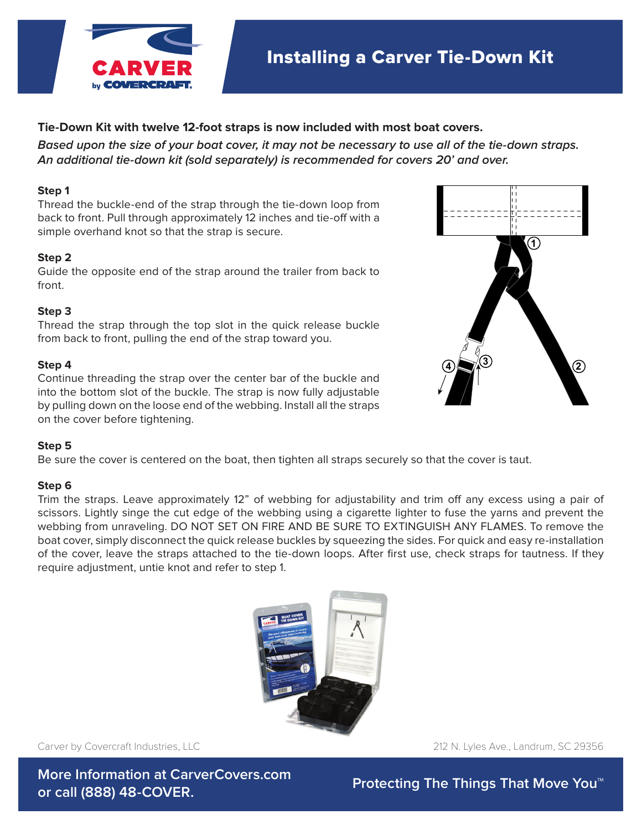

# **Tie-Down Kit with twelve 12-foot straps is now included with most boat covers.**

**Installing A Carver Tie-Down Kit An additional tie-down kit (sold separately) is recommended for covers 20' and over. Based upon the size of your boat cover, it may not be necessary to use all of the tie-down straps.**

#### Ties sold separately unless noted otherwise at time of cover purchase. The time of cover purchase at time of co **Step 1**

Thread the buckle-end of the strap through the tie-down loop from back to front. Pull through approximately 12 inches and tie-off with a **Step 1:** Thread the buckle-end of the strap through the tie down loop from back to simple overhand knot so that the strap is secure.

#### from the pull through approximately 12 inches and ties-of-o with a simple over  $\mathcal{L}$  inches and ties over  $\mathcal{L}$ **Step 2**

Guide the opposite end of the strap around the trailer from back to **Step 2:** Guide the opposite end of the strap around the trailer from back to front. front.

### **Step 3**

**Step 3:**  $T$  **the strap through the strap through the strap through the strap through the strap through the strap through the strap through the strap through the strap through the strap through the strap through the strap t** Thread the strap through the top slot in the quick release buckle **Step 4:** Continue threading the strap over the center bar of the buckle and into the bottom from back to front, pulling the end of the strap toward you.

#### Step 4 the strap is now fully adjustable. The strap is now fully adjustable by pulling down on the loose end of **Step 4**

Continue threading the strap over the center bar of the buckle and by pulling down on the loose end of the webbing. Install all the straps by pulling down on the loose end of the webbing. Install all the straps sy panning as the cover and to cover on into the bottom slot of the buckle. The strap is now fully adjustable

## **Step 5**

Lightly singe the cut edge of the webbing using a cigarette lighter to fuse the yarns and prevent the webbing from Be sure the cover is centered on the boat, then tighten all straps securely so that the cover is taut.

### $\mathsf{Gten}\, \mathsf{G}$ **Step 6**

-cup -<br>Trim the straps. Leave approximately 12" of webbing for adjustability and trim off any excess using a pair of **Rope Ratchet Instructions**<br>
boat cover, simply disconnect the quick release buckles by squeezing the sides. For quick and easy re-installation require adjustment, untie knot and refer to step 1. scissors. Lightly singe the cut edge of the webbing using a cigarette lighter to fuse the yarns and prevent the webbing from unraveling. DO NOT SET ON FIRE AND BE SURE TO EXTINGUISH ANY FLAMES. To remove the of the cover, leave the straps attached to the tie-down loops. After first use, check straps for tautness. If they



We offer a wide selection of products and accessories to protect your investment.

Carver by Covercraft Industries, LLC

212 N. Lyles Ave., Landrum, SC 29356

**More Information at CarverCovers.com or call (888) 48-COVER.** 

**Protecting The Things That Move You™**